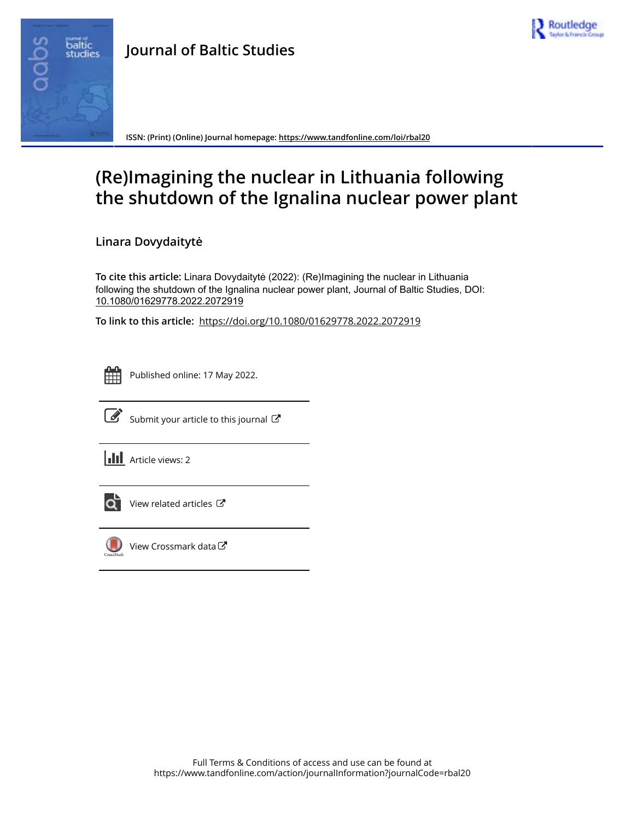



**ISSN: (Print) (Online) Journal homepage:<https://www.tandfonline.com/loi/rbal20>**

# **(Re)Imagining the nuclear in Lithuania following the shutdown of the Ignalina nuclear power plant**

**Linara Dovydaitytė**

**To cite this article:** Linara Dovydaitytė (2022): (Re)Imagining the nuclear in Lithuania following the shutdown of the Ignalina nuclear power plant, Journal of Baltic Studies, DOI: [10.1080/01629778.2022.2072919](https://www.tandfonline.com/action/showCitFormats?doi=10.1080/01629778.2022.2072919)

**To link to this article:** <https://doi.org/10.1080/01629778.2022.2072919>



Published online: 17 May 2022.



 $\overrightarrow{S}$  [Submit your article to this journal](https://www.tandfonline.com/action/authorSubmission?journalCode=rbal20&show=instructions)  $\overrightarrow{S}$ 

**III** Article views: 2



[View related articles](https://www.tandfonline.com/doi/mlt/10.1080/01629778.2022.2072919)  $\mathbb{Z}$ 



[View Crossmark data](http://crossmark.crossref.org/dialog/?doi=10.1080/01629778.2022.2072919&domain=pdf&date_stamp=2022-05-17)<sup>C</sup>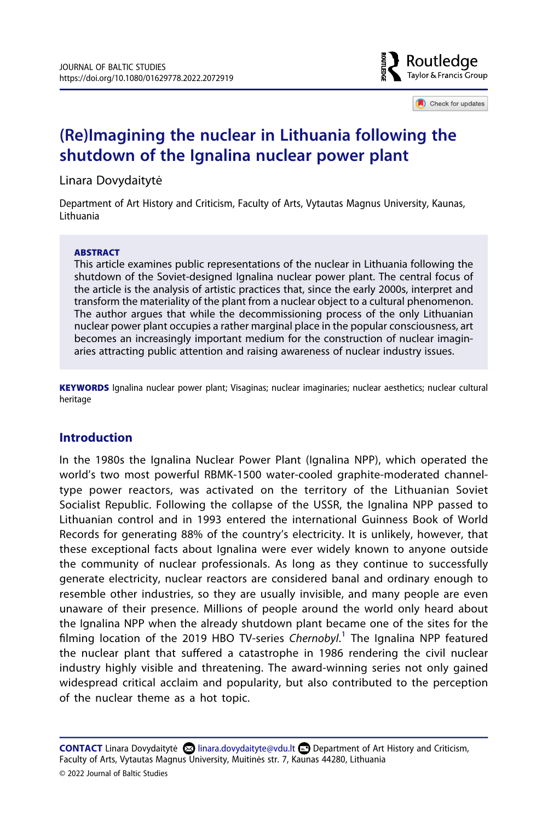

Check for updates

# **(Re)Imagining the nuclear in Lithuania following the shutdown of the Ignalina nuclear power plant**

Linara Dovydaitytė

Department of Art History and Criticism, Faculty of Arts, Vytautas Magnus University, Kaunas, Lithuania

#### **ABSTRACT**

This article examines public representations of the nuclear in Lithuania following the shutdown of the Soviet-designed Ignalina nuclear power plant. The central focus of the article is the analysis of artistic practices that, since the early 2000s, interpret and transform the materiality of the plant from a nuclear object to a cultural phenomenon. The author argues that while the decommissioning process of the only Lithuanian nuclear power plant occupies a rather marginal place in the popular consciousness, art becomes an increasingly important medium for the construction of nuclear imaginaries attracting public attention and raising awareness of nuclear industry issues.

**KEYWORDS** Ignalina nuclear power plant; Visaginas; nuclear imaginaries; nuclear aesthetics; nuclear cultural heritage

# **Introduction**

In the 1980s the Ignalina Nuclear Power Plant (Ignalina NPP), which operated the world's two most powerful RBMK-1500 water-cooled graphite-moderated channeltype power reactors, was activated on the territory of the Lithuanian Soviet Socialist Republic. Following the collapse of the USSR, the Ignalina NPP passed to Lithuanian control and in 1993 entered the international Guinness Book of World Records for generating 88% of the country's electricity. It is unlikely, however, that these exceptional facts about Ignalina were ever widely known to anyone outside the community of nuclear professionals. As long as they continue to successfully generate electricity, nuclear reactors are considered banal and ordinary enough to resemble other industries, so they are usually invisible, and many people are even unaware of their presence. Millions of people around the world only heard about the Ignalina NPP when the already shutdown plant became one of the sites for the filming location of the 2019 HBO TV-series *Chernobyl*. [1](#page-19-0) The Ignalina NPP featured the nuclear plant that suffered a catastrophe in 1986 rendering the civil nuclear industry highly visible and threatening. The award-winning series not only gained widespread critical acclaim and popularity, but also contributed to the perception of the nuclear theme as a hot topic.

**CONTACT** Linara Dovydaitytė **Q** linara.dovydaityte@vdu.lt **D** Department of Art History and Criticism, Faculty of Arts, Vytautas Magnus University, Muitinės str. 7, Kaunas 44280, Lithuania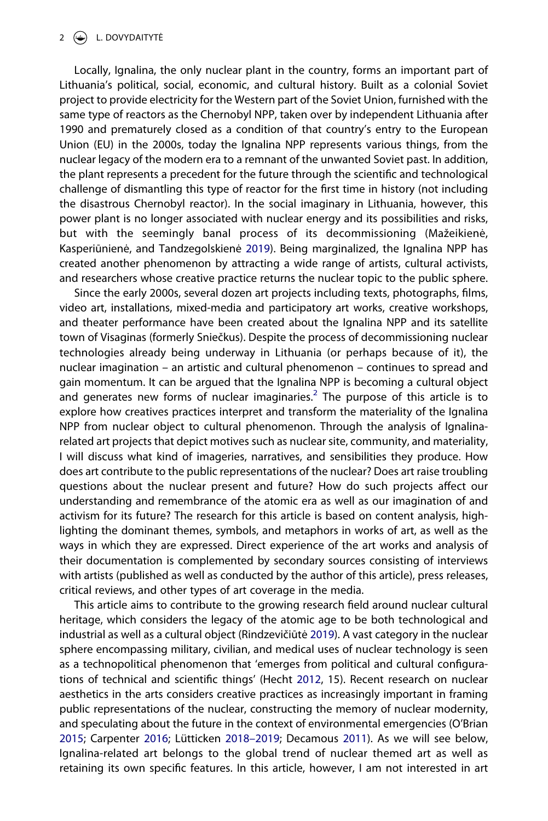Locally, Ignalina, the only nuclear plant in the country, forms an important part of Lithuania's political, social, economic, and cultural history. Built as a colonial Soviet project to provide electricity for the Western part of the Soviet Union, furnished with the same type of reactors as the Chernobyl NPP, taken over by independent Lithuania after 1990 and prematurely closed as a condition of that country's entry to the European Union (EU) in the 2000s, today the Ignalina NPP represents various things, from the nuclear legacy of the modern era to a remnant of the unwanted Soviet past. In addition, the plant represents a precedent for the future through the scientific and technological challenge of dismantling this type of reactor for the first time in history (not including the disastrous Chernobyl reactor). In the social imaginary in Lithuania, however, this power plant is no longer associated with nuclear energy and its possibilities and risks, but with the seemingly banal process of its decommissioning (Mažeikienė, Kasperiūnienė, and Tandzegolskienė [2019](#page-21-0)). Being marginalized, the Ignalina NPP has created another phenomenon by attracting a wide range of artists, cultural activists, and researchers whose creative practice returns the nuclear topic to the public sphere.

<span id="page-2-2"></span>Since the early 2000s, several dozen art projects including texts, photographs, films, video art, installations, mixed-media and participatory art works, creative workshops, and theater performance have been created about the Ignalina NPP and its satellite town of Visaginas (formerly Sniečkus). Despite the process of decommissioning nuclear technologies already being underway in Lithuania (or perhaps because of it), the nuclear imagination – an artistic and cultural phenomenon – continues to spread and gain momentum. It can be argued that the Ignalina NPP is becoming a cultural object and generates new forms of nuclear imaginaries.<sup>2</sup> The purpose of this article is to explore how creatives practices interpret and transform the materiality of the Ignalina NPP from nuclear object to cultural phenomenon. Through the analysis of Ignalinarelated art projects that depict motives such as nuclear site, community, and materiality, I will discuss what kind of imageries, narratives, and sensibilities they produce. How does art contribute to the public representations of the nuclear? Does art raise troubling questions about the nuclear present and future? How do such projects affect our understanding and remembrance of the atomic era as well as our imagination of and activism for its future? The research for this article is based on content analysis, highlighting the dominant themes, symbols, and metaphors in works of art, as well as the ways in which they are expressed. Direct experience of the art works and analysis of their documentation is complemented by secondary sources consisting of interviews with artists (published as well as conducted by the author of this article), press releases, critical reviews, and other types of art coverage in the media.

<span id="page-2-4"></span><span id="page-2-3"></span><span id="page-2-1"></span><span id="page-2-0"></span>This article aims to contribute to the growing research field around nuclear cultural heritage, which considers the legacy of the atomic age to be both technological and industrial as well as a cultural object (Rindzevičiūtė [2019](#page-22-0)). A vast category in the nuclear sphere encompassing military, civilian, and medical uses of nuclear technology is seen as a technopolitical phenomenon that 'emerges from political and cultural configurations of technical and scientific things' (Hecht [2012](#page-21-1), 15). Recent research on nuclear aesthetics in the arts considers creative practices as increasingly important in framing public representations of the nuclear, constructing the memory of nuclear modernity, and speculating about the future in the context of environmental emergencies (O'Brian [2015;](#page-21-2) Carpenter [2016;](#page-21-3) Lütticken [2018–2019;](#page-21-4) Decamous [2011\)](#page-21-5). As we will see below, Ignalina-related art belongs to the global trend of nuclear themed art as well as retaining its own specific features. In this article, however, I am not interested in art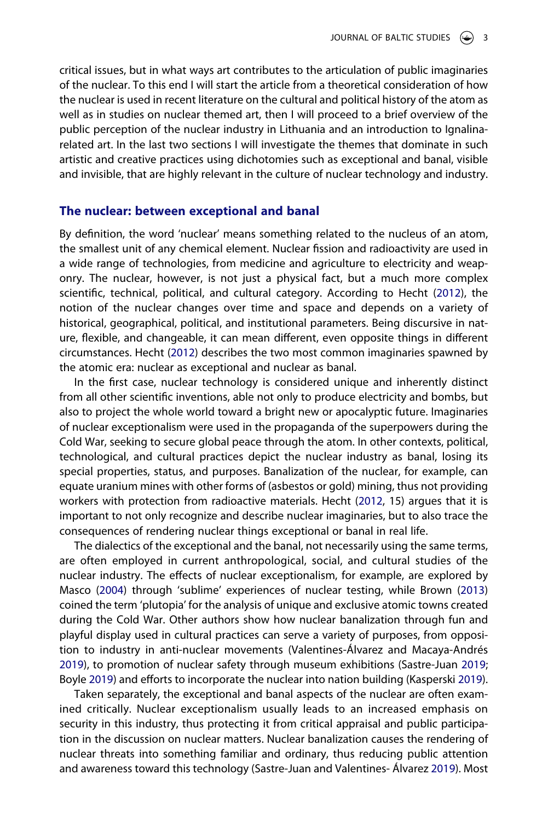critical issues, but in what ways art contributes to the articulation of public imaginaries of the nuclear. To this end I will start the article from a theoretical consideration of how the nuclear is used in recent literature on the cultural and political history of the atom as well as in studies on nuclear themed art, then I will proceed to a brief overview of the public perception of the nuclear industry in Lithuania and an introduction to Ignalinarelated art. In the last two sections I will investigate the themes that dominate in such artistic and creative practices using dichotomies such as exceptional and banal, visible and invisible, that are highly relevant in the culture of nuclear technology and industry.

#### **The nuclear: between exceptional and banal**

By definition, the word 'nuclear' means something related to the nucleus of an atom, the smallest unit of any chemical element. Nuclear fission and radioactivity are used in a wide range of technologies, from medicine and agriculture to electricity and weaponry. The nuclear, however, is not just a physical fact, but a much more complex scientific, technical, political, and cultural category. According to Hecht ([2012](#page-21-1)), the notion of the nuclear changes over time and space and depends on a variety of historical, geographical, political, and institutional parameters. Being discursive in nature, flexible, and changeable, it can mean different, even opposite things in different circumstances. Hecht ([2012](#page-21-1)) describes the two most common imaginaries spawned by the atomic era: nuclear as exceptional and nuclear as banal.

In the first case, nuclear technology is considered unique and inherently distinct from all other scientific inventions, able not only to produce electricity and bombs, but also to project the whole world toward a bright new or apocalyptic future. Imaginaries of nuclear exceptionalism were used in the propaganda of the superpowers during the Cold War, seeking to secure global peace through the atom. In other contexts, political, technological, and cultural practices depict the nuclear industry as banal, losing its special properties, status, and purposes. Banalization of the nuclear, for example, can equate uranium mines with other forms of (asbestos or gold) mining, thus not providing workers with protection from radioactive materials. Hecht ([2012](#page-21-1), 15) argues that it is important to not only recognize and describe nuclear imaginaries, but to also trace the consequences of rendering nuclear things exceptional or banal in real life.

<span id="page-3-1"></span>The dialectics of the exceptional and the banal, not necessarily using the same terms, are often employed in current anthropological, social, and cultural studies of the nuclear industry. The effects of nuclear exceptionalism, for example, are explored by Masco [\(2004\)](#page-21-6) through 'sublime' experiences of nuclear testing, while Brown ([2013\)](#page-21-7) coined the term 'plutopia' for the analysis of unique and exclusive atomic towns created during the Cold War. Other authors show how nuclear banalization through fun and playful display used in cultural practices can serve a variety of purposes, from opposition to industry in anti-nuclear movements (Valentines-Álvarez and Macaya-Andrés [2019\)](#page-22-1), to promotion of nuclear safety through museum exhibitions (Sastre-Juan [2019](#page-22-2); Boyle [2019](#page-21-8)) and efforts to incorporate the nuclear into nation building (Kasperski [2019\)](#page-21-9).

<span id="page-3-4"></span><span id="page-3-3"></span><span id="page-3-2"></span><span id="page-3-0"></span>Taken separately, the exceptional and banal aspects of the nuclear are often examined critically. Nuclear exceptionalism usually leads to an increased emphasis on security in this industry, thus protecting it from critical appraisal and public participation in the discussion on nuclear matters. Nuclear banalization causes the rendering of nuclear threats into something familiar and ordinary, thus reducing public attention and awareness toward this technology (Sastre-Juan and Valentines- Álvarez [2019\)](#page-22-3). Most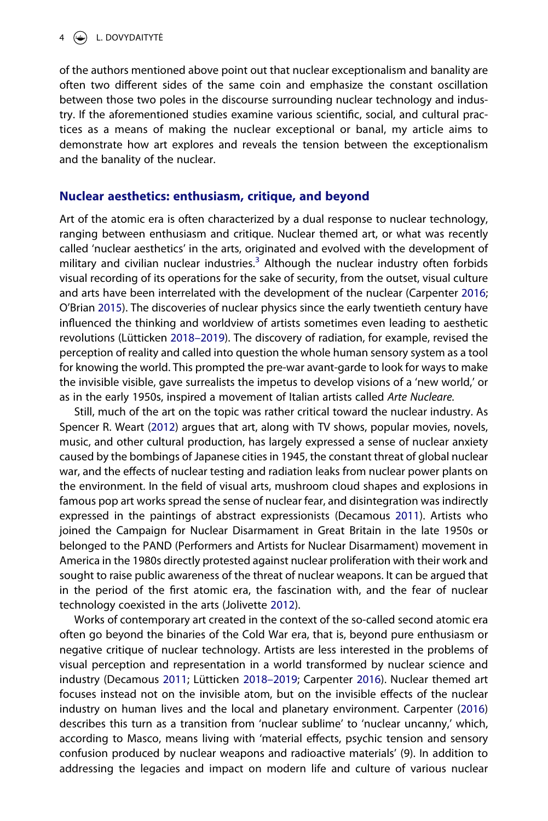of the authors mentioned above point out that nuclear exceptionalism and banality are often two different sides of the same coin and emphasize the constant oscillation between those two poles in the discourse surrounding nuclear technology and industry. If the aforementioned studies examine various scientific, social, and cultural practices as a means of making the nuclear exceptional or banal, my article aims to demonstrate how art explores and reveals the tension between the exceptionalism and the banality of the nuclear.

#### **Nuclear aesthetics: enthusiasm, critique, and beyond**

Art of the atomic era is often characterized by a dual response to nuclear technology, ranging between enthusiasm and critique. Nuclear themed art, or what was recently called 'nuclear aesthetics' in the arts, originated and evolved with the development of military and civilian nuclear industries.<sup>3</sup> Although the nuclear industry often forbids visual recording of its operations for the sake of security, from the outset, visual culture and arts have been interrelated with the development of the nuclear (Carpenter [2016](#page-21-3); O'Brian [2015\)](#page-21-2). The discoveries of nuclear physics since the early twentieth century have influenced the thinking and worldview of artists sometimes even leading to aesthetic revolutions (Lütticken [2018–2019](#page-21-4)). The discovery of radiation, for example, revised the perception of reality and called into question the whole human sensory system as a tool for knowing the world. This prompted the pre-war avant-garde to look for ways to make the invisible visible, gave surrealists the impetus to develop visions of a 'new world,' or as in the early 1950s, inspired a movement of Italian artists called *Arte Nucleare.*

<span id="page-4-1"></span>Still, much of the art on the topic was rather critical toward the nuclear industry. As Spencer R. Weart ([2012](#page-22-4)) argues that art, along with TV shows, popular movies, novels, music, and other cultural production, has largely expressed a sense of nuclear anxiety caused by the bombings of Japanese cities in 1945, the constant threat of global nuclear war, and the effects of nuclear testing and radiation leaks from nuclear power plants on the environment. In the field of visual arts, mushroom cloud shapes and explosions in famous pop art works spread the sense of nuclear fear, and disintegration was indirectly expressed in the paintings of abstract expressionists (Decamous [2011\)](#page-21-5). Artists who joined the Campaign for Nuclear Disarmament in Great Britain in the late 1950s or belonged to the PAND (Performers and Artists for Nuclear Disarmament) movement in America in the 1980s directly protested against nuclear proliferation with their work and sought to raise public awareness of the threat of nuclear weapons. It can be argued that in the period of the first atomic era, the fascination with, and the fear of nuclear technology coexisted in the arts (Jolivette [2012](#page-21-10)).

<span id="page-4-0"></span>Works of contemporary art created in the context of the so-called second atomic era often go beyond the binaries of the Cold War era, that is, beyond pure enthusiasm or negative critique of nuclear technology. Artists are less interested in the problems of visual perception and representation in a world transformed by nuclear science and industry (Decamous [2011](#page-21-5); Lütticken [2018–2019](#page-21-4); Carpenter [2016\)](#page-21-3). Nuclear themed art focuses instead not on the invisible atom, but on the invisible effects of the nuclear industry on human lives and the local and planetary environment. Carpenter [\(2016\)](#page-21-3) describes this turn as a transition from 'nuclear sublime' to 'nuclear uncanny,' which, according to Masco, means living with 'material effects, psychic tension and sensory confusion produced by nuclear weapons and radioactive materials' (9). In addition to addressing the legacies and impact on modern life and culture of various nuclear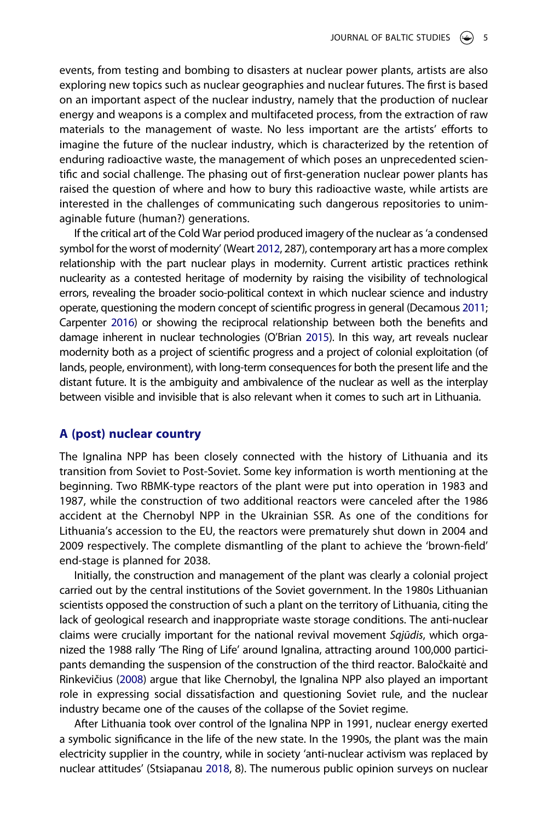events, from testing and bombing to disasters at nuclear power plants, artists are also exploring new topics such as nuclear geographies and nuclear futures. The first is based on an important aspect of the nuclear industry, namely that the production of nuclear energy and weapons is a complex and multifaceted process, from the extraction of raw materials to the management of waste. No less important are the artists' efforts to imagine the future of the nuclear industry, which is characterized by the retention of enduring radioactive waste, the management of which poses an unprecedented scientific and social challenge. The phasing out of first-generation nuclear power plants has raised the question of where and how to bury this radioactive waste, while artists are interested in the challenges of communicating such dangerous repositories to unimaginable future (human?) generations.

If the critical art of the Cold War period produced imagery of the nuclear as 'a condensed symbol for the worst of modernity' (Weart [2012](#page-22-4), 287), contemporary art has a more complex relationship with the part nuclear plays in modernity. Current artistic practices rethink nuclearity as a contested heritage of modernity by raising the visibility of technological errors, revealing the broader socio-political context in which nuclear science and industry operate, questioning the modern concept of scientific progress in general (Decamous [2011](#page-21-5); Carpenter [2016](#page-21-3)) or showing the reciprocal relationship between both the benefits and damage inherent in nuclear technologies (O'Brian [2015\)](#page-21-2). In this way, art reveals nuclear modernity both as a project of scientific progress and a project of colonial exploitation (of lands, people, environment), with long-term consequences for both the present life and the distant future. It is the ambiguity and ambivalence of the nuclear as well as the interplay between visible and invisible that is also relevant when it comes to such art in Lithuania.

#### **A (post) nuclear country**

The Ignalina NPP has been closely connected with the history of Lithuania and its transition from Soviet to Post-Soviet. Some key information is worth mentioning at the beginning. Two RBMK-type reactors of the plant were put into operation in 1983 and 1987, while the construction of two additional reactors were canceled after the 1986 accident at the Chernobyl NPP in the Ukrainian SSR. As one of the conditions for Lithuania's accession to the EU, the reactors were prematurely shut down in 2004 and 2009 respectively. The complete dismantling of the plant to achieve the 'brown-field' end-stage is planned for 2038.

Initially, the construction and management of the plant was clearly a colonial project carried out by the central institutions of the Soviet government. In the 1980s Lithuanian scientists opposed the construction of such a plant on the territory of Lithuania, citing the lack of geological research and inappropriate waste storage conditions. The anti-nuclear claims were crucially important for the national revival movement *Sąjūdis*, which organized the 1988 rally 'The Ring of Life' around Ignalina, attracting around 100,000 participants demanding the suspension of the construction of the third reactor. Baločkaitė and Rinkevičius [\(2008\)](#page-21-11) argue that like Chernobyl, the Ignalina NPP also played an important role in expressing social dissatisfaction and questioning Soviet rule, and the nuclear industry became one of the causes of the collapse of the Soviet regime.

<span id="page-5-1"></span><span id="page-5-0"></span>After Lithuania took over control of the Ignalina NPP in 1991, nuclear energy exerted a symbolic significance in the life of the new state. In the 1990s, the plant was the main electricity supplier in the country, while in society 'anti-nuclear activism was replaced by nuclear attitudes' (Stsiapanau [2018](#page-22-5), 8). The numerous public opinion surveys on nuclear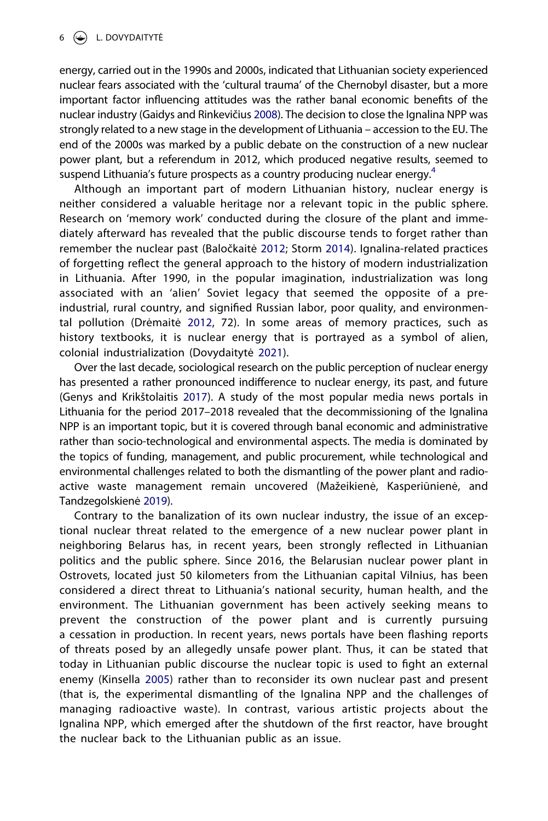<span id="page-6-3"></span>energy, carried out in the 1990s and 2000s, indicated that Lithuanian society experienced nuclear fears associated with the 'cultural trauma' of the Chernobyl disaster, but a more important factor influencing attitudes was the rather banal economic benefits of the nuclear industry (Gaidys and Rinkevičius [2008](#page-21-12)). The decision to close the Ignalina NPP was strongly related to a new stage in the development of Lithuania – accession to the EU. The end of the 2000s was marked by a public debate on the construction of a new nuclear power plant, but a referendum in 2012, which produced negative results, seemed to suspend Lithuania's future prospects as a country producing nuclear energy.<sup>4</sup>

<span id="page-6-0"></span>Although an important part of modern Lithuanian history, nuclear energy is neither considered a valuable heritage nor a relevant topic in the public sphere. Research on 'memory work' conducted during the closure of the plant and immediately afterward has revealed that the public discourse tends to forget rather than remember the nuclear past (Baločkaitė [2012;](#page-21-13) Storm [2014\)](#page-22-6). Ignalina-related practices of forgetting reflect the general approach to the history of modern industrialization in Lithuania. After 1990, in the popular imagination, industrialization was long associated with an 'alien' Soviet legacy that seemed the opposite of a preindustrial, rural country, and signified Russian labor, poor quality, and environmental pollution (Drėmaitė [2012](#page-21-14), 72). In some areas of memory practices, such as history textbooks, it is nuclear energy that is portrayed as a symbol of alien, colonial industrialization (Dovydaitytė [2021\)](#page-21-15).

<span id="page-6-4"></span><span id="page-6-2"></span><span id="page-6-1"></span>Over the last decade, sociological research on the public perception of nuclear energy has presented a rather pronounced indifference to nuclear energy, its past, and future (Genys and Krikštolaitis [2017\)](#page-21-16). A study of the most popular media news portals in Lithuania for the period 2017–2018 revealed that the decommissioning of the Ignalina NPP is an important topic, but it is covered through banal economic and administrative rather than socio-technological and environmental aspects. The media is dominated by the topics of funding, management, and public procurement, while technological and environmental challenges related to both the dismantling of the power plant and radioactive waste management remain uncovered (Mažeikienė, Kasperiūnienė, and Tandzegolskienė [2019\)](#page-21-0).

<span id="page-6-5"></span>Contrary to the banalization of its own nuclear industry, the issue of an exceptional nuclear threat related to the emergence of a new nuclear power plant in neighboring Belarus has, in recent years, been strongly reflected in Lithuanian politics and the public sphere. Since 2016, the Belarusian nuclear power plant in Ostrovets, located just 50 kilometers from the Lithuanian capital Vilnius, has been considered a direct threat to Lithuania's national security, human health, and the environment. The Lithuanian government has been actively seeking means to prevent the construction of the power plant and is currently pursuing a cessation in production. In recent years, news portals have been flashing reports of threats posed by an allegedly unsafe power plant. Thus, it can be stated that today in Lithuanian public discourse the nuclear topic is used to fight an external enemy (Kinsella [2005](#page-21-17)) rather than to reconsider its own nuclear past and present (that is, the experimental dismantling of the Ignalina NPP and the challenges of managing radioactive waste). In contrast, various artistic projects about the Ignalina NPP, which emerged after the shutdown of the first reactor, have brought the nuclear back to the Lithuanian public as an issue.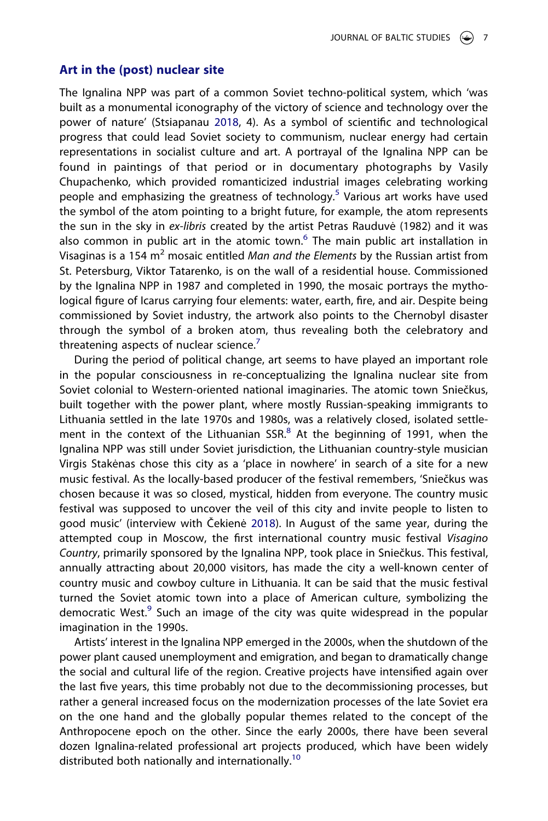#### **Art in the (post) nuclear site**

The Ignalina NPP was part of a common Soviet techno-political system, which 'was built as a monumental iconography of the victory of science and technology over the power of nature' (Stsiapanau [2018,](#page-22-5) 4). As a symbol of scientific and technological progress that could lead Soviet society to communism, nuclear energy had certain representations in socialist culture and art. A portrayal of the Ignalina NPP can be found in paintings of that period or in documentary photographs by Vasily Chupachenko, which provided romanticized industrial images celebrating working people and emphasizing the greatness of technology.<sup>[5](#page-19-4)</sup> Various art works have used the symbol of the atom pointing to a bright future, for example, the atom represents the sun in the sky in *ex-libris* created by the artist Petras Rauduvė (1982) and it was also common in public art in the atomic town. $<sup>6</sup>$  The main public art installation in</sup> Visaginas is a 154 m2 mosaic entitled *Man and the Elements* by the Russian artist from St. Petersburg, Viktor Tatarenko, is on the wall of a residential house. Commissioned by the Ignalina NPP in 1987 and completed in 1990, the mosaic portrays the mythological figure of Icarus carrying four elements: water, earth, fire, and air. Despite being commissioned by Soviet industry, the artwork also points to the Chernobyl disaster through the symbol of a broken atom, thus revealing both the celebratory and threatening aspects of nuclear science. $7$ 

During the period of political change, art seems to have played an important role in the popular consciousness in re-conceptualizing the Ignalina nuclear site from Soviet colonial to Western-oriented national imaginaries. The atomic town Sniečkus, built together with the power plant, where mostly Russian-speaking immigrants to Lithuania settled in the late 1970s and 1980s, was a relatively closed, isolated settlement in the context of the Lithuanian SSR. $8$  At the beginning of 1991, when the Ignalina NPP was still under Soviet jurisdiction, the Lithuanian country-style musician Virgis Stakėnas chose this city as a 'place in nowhere' in search of a site for a new music festival. As the locally-based producer of the festival remembers, 'Sniečkus was chosen because it was so closed, mystical, hidden from everyone. The country music festival was supposed to uncover the veil of this city and invite people to listen to good music' (interview with Čekienė [2018\)](#page-21-18). In August of the same year, during the attempted coup in Moscow, the first international country music festival *Visagino Country*, primarily sponsored by the Ignalina NPP, took place in Sniečkus. This festival, annually attracting about 20,000 visitors, has made the city a well-known center of country music and cowboy culture in Lithuania. It can be said that the music festival turned the Soviet atomic town into a place of American culture, symbolizing the democratic West.<sup>9</sup> Such an image of the city was quite widespread in the popular imagination in the 1990s.

<span id="page-7-0"></span>Artists' interest in the Ignalina NPP emerged in the 2000s, when the shutdown of the power plant caused unemployment and emigration, and began to dramatically change the social and cultural life of the region. Creative projects have intensified again over the last five years, this time probably not due to the decommissioning processes, but rather a general increased focus on the modernization processes of the late Soviet era on the one hand and the globally popular themes related to the concept of the Anthropocene epoch on the other. Since the early 2000s, there have been several dozen Ignalina-related professional art projects produced, which have been widely distributed both nationally and internationally.<sup>[10](#page-19-9)</sup>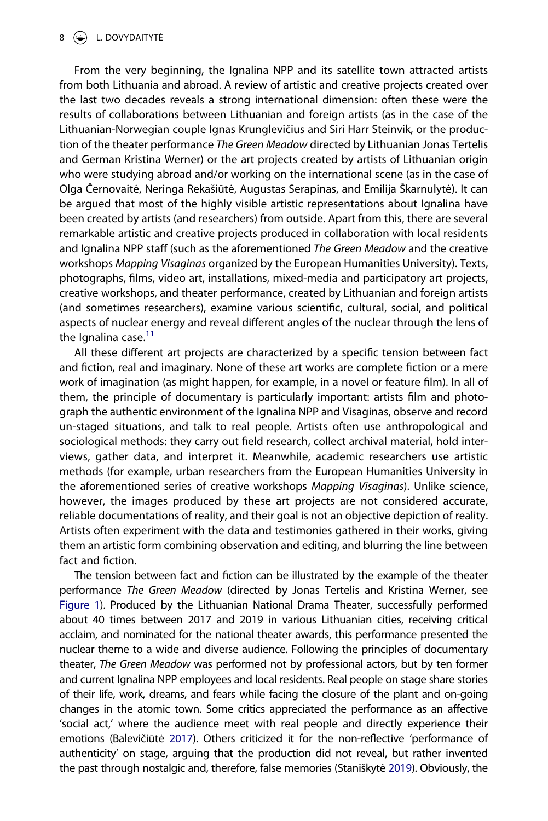From the very beginning, the Ignalina NPP and its satellite town attracted artists from both Lithuania and abroad. A review of artistic and creative projects created over the last two decades reveals a strong international dimension: often these were the results of collaborations between Lithuanian and foreign artists (as in the case of the Lithuanian-Norwegian couple Ignas Krunglevičius and Siri Harr Steinvik, or the production of the theater performance *The Green Meadow* directed by Lithuanian Jonas Tertelis and German Kristina Werner) or the art projects created by artists of Lithuanian origin who were studying abroad and/or working on the international scene (as in the case of Olga Černovaitė, Neringa Rekašiūtė, Augustas Serapinas, and Emilija Škarnulytė). It can be argued that most of the highly visible artistic representations about Ignalina have been created by artists (and researchers) from outside. Apart from this, there are several remarkable artistic and creative projects produced in collaboration with local residents and Ignalina NPP staff (such as the aforementioned *The Green Meadow* and the creative workshops *Mapping Visaginas* organized by the European Humanities University). Texts, photographs, films, video art, installations, mixed-media and participatory art projects, creative workshops, and theater performance, created by Lithuanian and foreign artists (and sometimes researchers), examine various scientific, cultural, social, and political aspects of nuclear energy and reveal different angles of the nuclear through the lens of the Ignalina case.<sup>[11](#page-20-0)</sup>

All these different art projects are characterized by a specific tension between fact and fiction, real and imaginary. None of these art works are complete fiction or a mere work of imagination (as might happen, for example, in a novel or feature film). In all of them, the principle of documentary is particularly important: artists film and photograph the authentic environment of the Ignalina NPP and Visaginas, observe and record un-staged situations, and talk to real people. Artists often use anthropological and sociological methods: they carry out field research, collect archival material, hold interviews, gather data, and interpret it. Meanwhile, academic researchers use artistic methods (for example, urban researchers from the European Humanities University in the aforementioned series of creative workshops *Mapping Visaginas*). Unlike science, however, the images produced by these art projects are not considered accurate, reliable documentations of reality, and their goal is not an objective depiction of reality. Artists often experiment with the data and testimonies gathered in their works, giving them an artistic form combining observation and editing, and blurring the line between fact and fiction.

<span id="page-8-1"></span><span id="page-8-0"></span>The tension between fact and fiction can be illustrated by the example of the theater performance *The Green Meadow* (directed by Jonas Tertelis and Kristina Werner, see [Figure 1\)](#page-9-0). Produced by the Lithuanian National Drama Theater, successfully performed about 40 times between 2017 and 2019 in various Lithuanian cities, receiving critical acclaim, and nominated for the national theater awards, this performance presented the nuclear theme to a wide and diverse audience. Following the principles of documentary theater, *The Green Meadow* was performed not by professional actors, but by ten former and current Ignalina NPP employees and local residents. Real people on stage share stories of their life, work, dreams, and fears while facing the closure of the plant and on-going changes in the atomic town. Some critics appreciated the performance as an affective 'social act,' where the audience meet with real people and directly experience their emotions (Balevičiūtė [2017\)](#page-21-19). Others criticized it for the non-reflective 'performance of authenticity' on stage, arguing that the production did not reveal, but rather invented the past through nostalgic and, therefore, false memories (Staniškytė [2019\)](#page-22-7). Obviously, the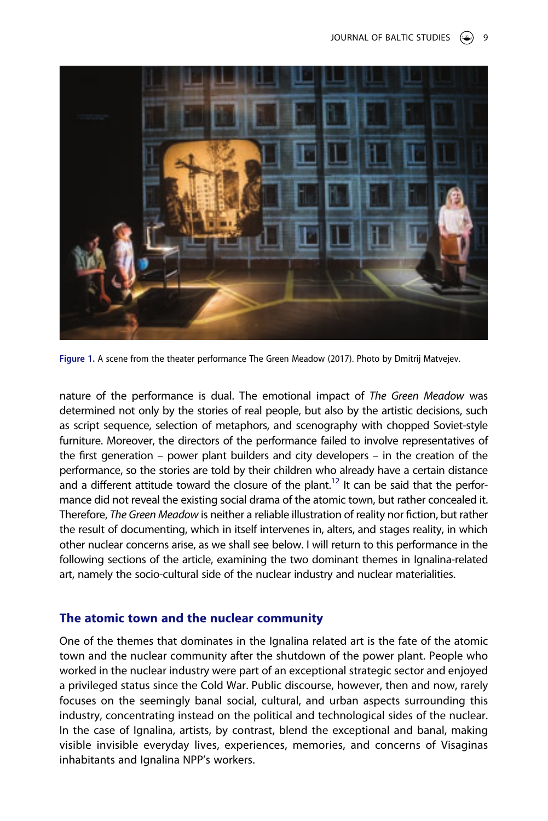<span id="page-9-0"></span>

**Figure 1.** A scene from the theater performance The Green Meadow (2017). Photo by Dmitrij Matvejev.

nature of the performance is dual. The emotional impact of *The Green Meadow* was determined not only by the stories of real people, but also by the artistic decisions, such as script sequence, selection of metaphors, and scenography with chopped Soviet-style furniture. Moreover, the directors of the performance failed to involve representatives of the first generation – power plant builders and city developers – in the creation of the performance, so the stories are told by their children who already have a certain distance and a different attitude toward the closure of the plant.<sup>12</sup> It can be said that the performance did not reveal the existing social drama of the atomic town, but rather concealed it. Therefore, *The Green Meadow* is neither a reliable illustration of reality nor fiction, but rather the result of documenting, which in itself intervenes in, alters, and stages reality, in which other nuclear concerns arise, as we shall see below. I will return to this performance in the following sections of the article, examining the two dominant themes in Ignalina-related art, namely the socio-cultural side of the nuclear industry and nuclear materialities.

#### **The atomic town and the nuclear community**

One of the themes that dominates in the Ignalina related art is the fate of the atomic town and the nuclear community after the shutdown of the power plant. People who worked in the nuclear industry were part of an exceptional strategic sector and enjoyed a privileged status since the Cold War. Public discourse, however, then and now, rarely focuses on the seemingly banal social, cultural, and urban aspects surrounding this industry, concentrating instead on the political and technological sides of the nuclear. In the case of Ignalina, artists, by contrast, blend the exceptional and banal, making visible invisible everyday lives, experiences, memories, and concerns of Visaginas inhabitants and Ignalina NPP's workers.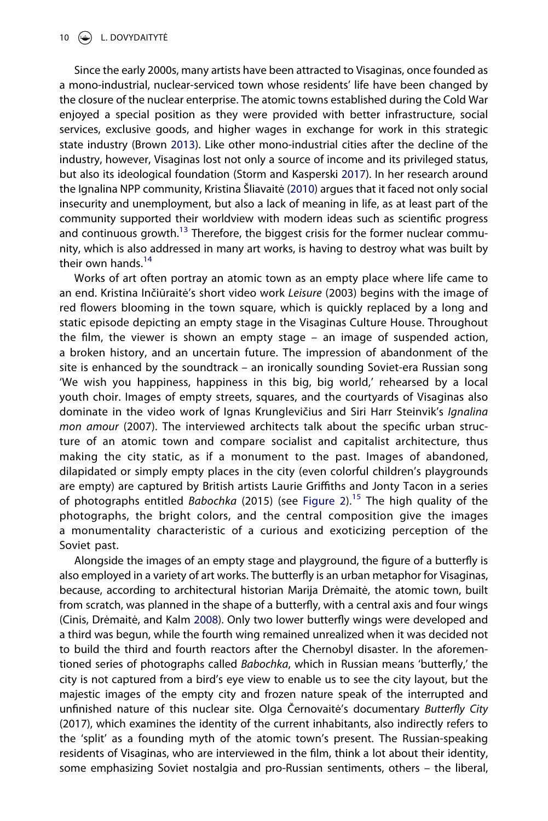<span id="page-10-2"></span>Since the early 2000s, many artists have been attracted to Visaginas, once founded as a mono-industrial, nuclear-serviced town whose residents' life have been changed by the closure of the nuclear enterprise. The atomic towns established during the Cold War enjoyed a special position as they were provided with better infrastructure, social services, exclusive goods, and higher wages in exchange for work in this strategic state industry (Brown [2013\)](#page-21-7). Like other mono-industrial cities after the decline of the industry, however, Visaginas lost not only a source of income and its privileged status, but also its ideological foundation (Storm and Kasperski [2017](#page-22-8)). In her research around the Ignalina NPP community, Kristina Šliavaitė [\(2010\)](#page-22-9) argues that it faced not only social insecurity and unemployment, but also a lack of meaning in life, as at least part of the community supported their worldview with modern ideas such as scientific progress and continuous growth.<sup>13</sup> Therefore, the biggest crisis for the former nuclear community, which is also addressed in many art works, is having to destroy what was built by their own hands.<sup>[14](#page-20-3)</sup>

<span id="page-10-1"></span>Works of art often portray an atomic town as an empty place where life came to an end. Kristina Inčiūraitė's short video work *Leisure* (2003) begins with the image of red flowers blooming in the town square, which is quickly replaced by a long and static episode depicting an empty stage in the Visaginas Culture House. Throughout the film, the viewer is shown an empty stage – an image of suspended action, a broken history, and an uncertain future. The impression of abandonment of the site is enhanced by the soundtrack – an ironically sounding Soviet-era Russian song 'We wish you happiness, happiness in this big, big world,' rehearsed by a local youth choir. Images of empty streets, squares, and the courtyards of Visaginas also dominate in the video work of Ignas Krunglevičius and Siri Harr Steinvik's *Ignalina mon amour* (2007). The interviewed architects talk about the specific urban structure of an atomic town and compare socialist and capitalist architecture, thus making the city static, as if a monument to the past. Images of abandoned, dilapidated or simply empty places in the city (even colorful children's playgrounds are empty) are captured by British artists Laurie Griffiths and Jonty Tacon in a series of photographs entitled *Babochka* (2015) (see [Figure 2](#page-11-0)).[15](#page-20-4) The high quality of the photographs, the bright colors, and the central composition give the images a monumentality characteristic of a curious and exoticizing perception of the Soviet past.

<span id="page-10-0"></span>Alongside the images of an empty stage and playground, the figure of a butterfly is also employed in a variety of art works. The butterfly is an urban metaphor for Visaginas, because, according to architectural historian Marija Drėmaitė, the atomic town, built from scratch, was planned in the shape of a butterfly, with a central axis and four wings (Cinis, Drėmaitė, and Kalm [2008](#page-21-20)). Only two lower butterfly wings were developed and a third was begun, while the fourth wing remained unrealized when it was decided not to build the third and fourth reactors after the Chernobyl disaster. In the aforementioned series of photographs called *Babochka*, which in Russian means 'butterfly,' the city is not captured from a bird's eye view to enable us to see the city layout, but the majestic images of the empty city and frozen nature speak of the interrupted and unfinished nature of this nuclear site. Olga Černovaitė's documentary *Butterfly City*  (2017), which examines the identity of the current inhabitants, also indirectly refers to the 'split' as a founding myth of the atomic town's present. The Russian-speaking residents of Visaginas, who are interviewed in the film, think a lot about their identity, some emphasizing Soviet nostalgia and pro-Russian sentiments, others – the liberal,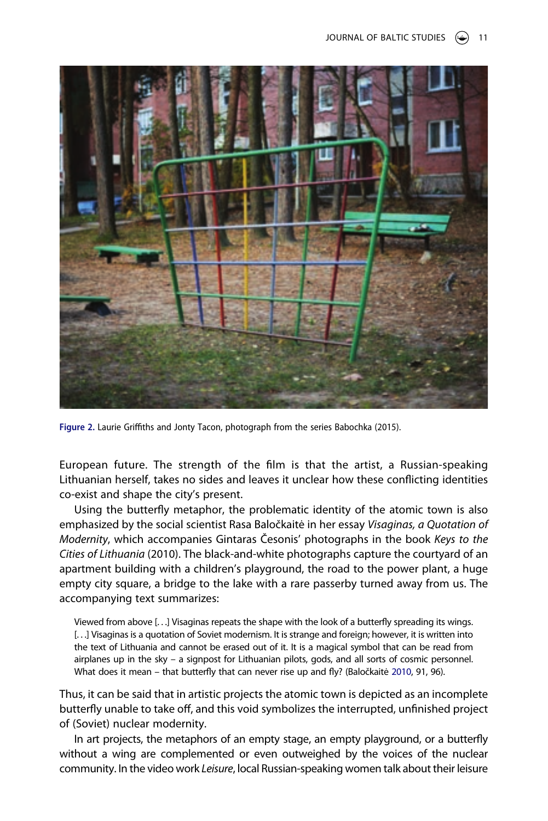<span id="page-11-0"></span>

**Figure 2.** Laurie Griffiths and Jonty Tacon, photograph from the series Babochka (2015).

European future. The strength of the film is that the artist, a Russian-speaking Lithuanian herself, takes no sides and leaves it unclear how these conflicting identities co-exist and shape the city's present.

Using the butterfly metaphor, the problematic identity of the atomic town is also emphasized by the social scientist Rasa Baločkaitė in her essay *Visaginas, a Quotation of Modernity*, which accompanies Gintaras Česonis' photographs in the book *Keys to the Cities of Lithuania* (2010). The black-and-white photographs capture the courtyard of an apartment building with a children's playground, the road to the power plant, a huge empty city square, a bridge to the lake with a rare passerby turned away from us. The accompanying text summarizes:

Viewed from above [. . .] Visaginas repeats the shape with the look of a butterfly spreading its wings. [...] Visaginas is a quotation of Soviet modernism. It is strange and foreign; however, it is written into the text of Lithuania and cannot be erased out of it. It is a magical symbol that can be read from airplanes up in the sky – a signpost for Lithuanian pilots, gods, and all sorts of cosmic personnel. What does it mean – that butterfly that can never rise up and fly? (Baločkaitė [2010](#page-21-21), 91, 96).

<span id="page-11-1"></span>Thus, it can be said that in artistic projects the atomic town is depicted as an incomplete butterfly unable to take off, and this void symbolizes the interrupted, unfinished project of (Soviet) nuclear modernity.

In art projects, the metaphors of an empty stage, an empty playground, or a butterfly without a wing are complemented or even outweighed by the voices of the nuclear community. In the video work *Leisure*, local Russian-speaking women talk about their leisure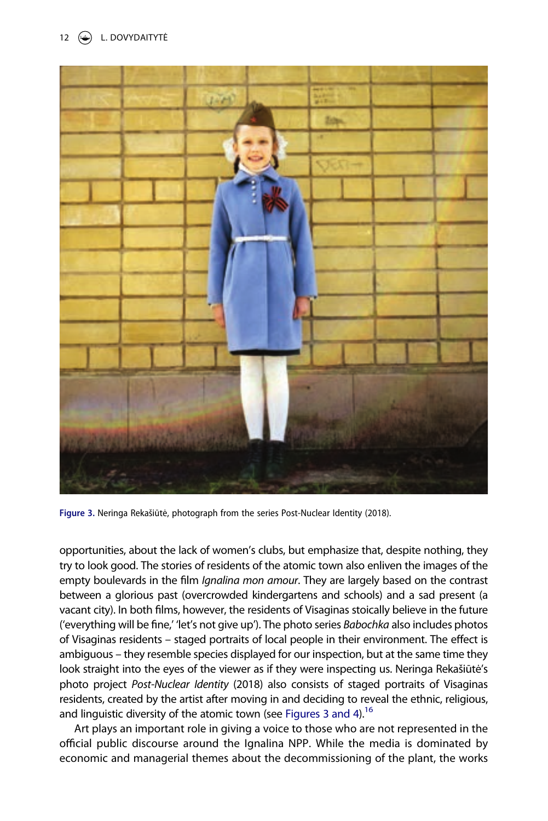<span id="page-12-0"></span>

**Figure 3.** Neringa Rekašiūtė, photograph from the series Post-Nuclear Identity (2018).

opportunities, about the lack of women's clubs, but emphasize that, despite nothing, they try to look good. The stories of residents of the atomic town also enliven the images of the empty boulevards in the film *Ignalina mon amour*. They are largely based on the contrast between a glorious past (overcrowded kindergartens and schools) and a sad present (a vacant city). In both films, however, the residents of Visaginas stoically believe in the future ('everything will be fine,' 'let's not give up'). The photo series *Babochka* also includes photos of Visaginas residents – staged portraits of local people in their environment. The effect is ambiguous – they resemble species displayed for our inspection, but at the same time they look straight into the eyes of the viewer as if they were inspecting us. Neringa Rekašiūtė's photo project *Post-Nuclear Identity* (2018) also consists of staged portraits of Visaginas residents, created by the artist after moving in and deciding to reveal the ethnic, religious, and linguistic diversity of the atomic town (see [Figures 3 and](#page-12-0) [4\)](#page-13-0).<sup>16</sup>

Art plays an important role in giving a voice to those who are not represented in the official public discourse around the Ignalina NPP. While the media is dominated by economic and managerial themes about the decommissioning of the plant, the works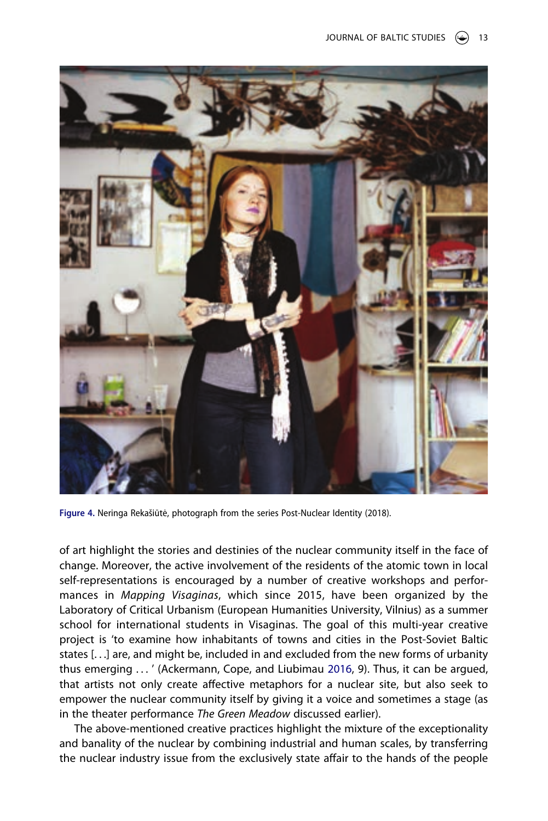<span id="page-13-0"></span>

**Figure 4.** Neringa Rekašiūtė, photograph from the series Post-Nuclear Identity (2018).

of art highlight the stories and destinies of the nuclear community itself in the face of change. Moreover, the active involvement of the residents of the atomic town in local self-representations is encouraged by a number of creative workshops and performances in *Mapping Visaginas*, which since 2015, have been organized by the Laboratory of Critical Urbanism (European Humanities University, Vilnius) as a summer school for international students in Visaginas. The goal of this multi-year creative project is 'to examine how inhabitants of towns and cities in the Post-Soviet Baltic states [. . .] are, and might be, included in and excluded from the new forms of urbanity thus emerging . . . ' (Ackermann, Cope, and Liubimau [2016](#page-21-22), 9). Thus, it can be argued, that artists not only create affective metaphors for a nuclear site, but also seek to empower the nuclear community itself by giving it a voice and sometimes a stage (as in the theater performance *The Green Meadow* discussed earlier).

<span id="page-13-1"></span>The above-mentioned creative practices highlight the mixture of the exceptionality and banality of the nuclear by combining industrial and human scales, by transferring the nuclear industry issue from the exclusively state affair to the hands of the people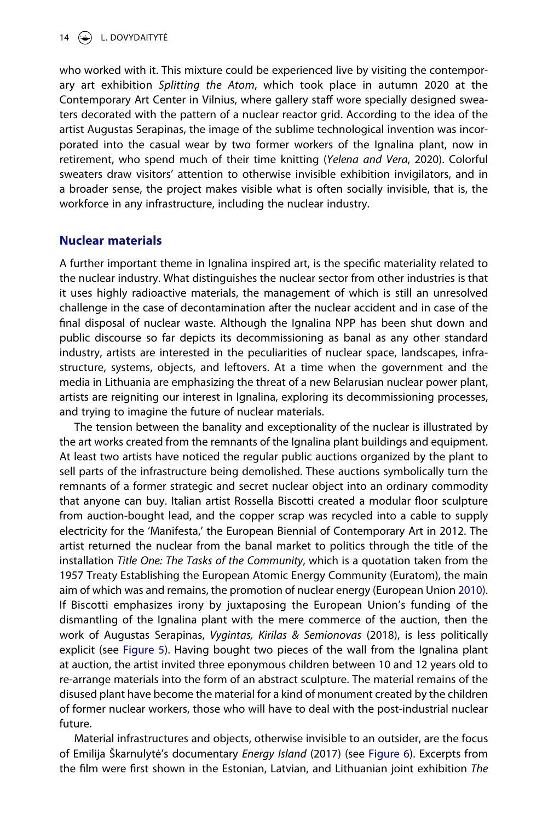who worked with it. This mixture could be experienced live by visiting the contemporary art exhibition *Splitting the Atom*, which took place in autumn 2020 at the Contemporary Art Center in Vilnius, where gallery staff wore specially designed sweaters decorated with the pattern of a nuclear reactor grid. According to the idea of the artist Augustas Serapinas, the image of the sublime technological invention was incorporated into the casual wear by two former workers of the Ignalina plant, now in retirement, who spend much of their time knitting (*Yelena and Vera*, 2020). Colorful sweaters draw visitors' attention to otherwise invisible exhibition invigilators, and in a broader sense, the project makes visible what is often socially invisible, that is, the workforce in any infrastructure, including the nuclear industry.

# **Nuclear materials**

A further important theme in Ignalina inspired art, is the specific materiality related to the nuclear industry. What distinguishes the nuclear sector from other industries is that it uses highly radioactive materials, the management of which is still an unresolved challenge in the case of decontamination after the nuclear accident and in case of the final disposal of nuclear waste. Although the Ignalina NPP has been shut down and public discourse so far depicts its decommissioning as banal as any other standard industry, artists are interested in the peculiarities of nuclear space, landscapes, infrastructure, systems, objects, and leftovers. At a time when the government and the media in Lithuania are emphasizing the threat of a new Belarusian nuclear power plant, artists are reigniting our interest in Ignalina, exploring its decommissioning processes, and trying to imagine the future of nuclear materials.

The tension between the banality and exceptionality of the nuclear is illustrated by the art works created from the remnants of the Ignalina plant buildings and equipment. At least two artists have noticed the regular public auctions organized by the plant to sell parts of the infrastructure being demolished. These auctions symbolically turn the remnants of a former strategic and secret nuclear object into an ordinary commodity that anyone can buy. Italian artist Rossella Biscotti created a modular floor sculpture from auction-bought lead, and the copper scrap was recycled into a cable to supply electricity for the 'Manifesta,' the European Biennial of Contemporary Art in 2012. The artist returned the nuclear from the banal market to politics through the title of the installation *Title One: The Tasks of the Community*, which is a quotation taken from the 1957 Treaty Establishing the European Atomic Energy Community (Euratom), the main aim of which was and remains, the promotion of nuclear energy (European Union [2010\)](#page-21-23). If Biscotti emphasizes irony by juxtaposing the European Union's funding of the dismantling of the Ignalina plant with the mere commerce of the auction, then the work of Augustas Serapinas, *Vygintas, Kirilas & Semionovas* (2018), is less politically explicit (see [Figure 5\)](#page-15-0). Having bought two pieces of the wall from the Ignalina plant at auction, the artist invited three eponymous children between 10 and 12 years old to re-arrange materials into the form of an abstract sculpture. The material remains of the disused plant have become the material for a kind of monument created by the children of former nuclear workers, those who will have to deal with the post-industrial nuclear future.

<span id="page-14-0"></span>Material infrastructures and objects, otherwise invisible to an outsider, are the focus of Emilija Škarnulytė's documentary *Energy Island* (2017) (see [Figure 6\)](#page-15-1). Excerpts from the film were first shown in the Estonian, Latvian, and Lithuanian joint exhibition *The*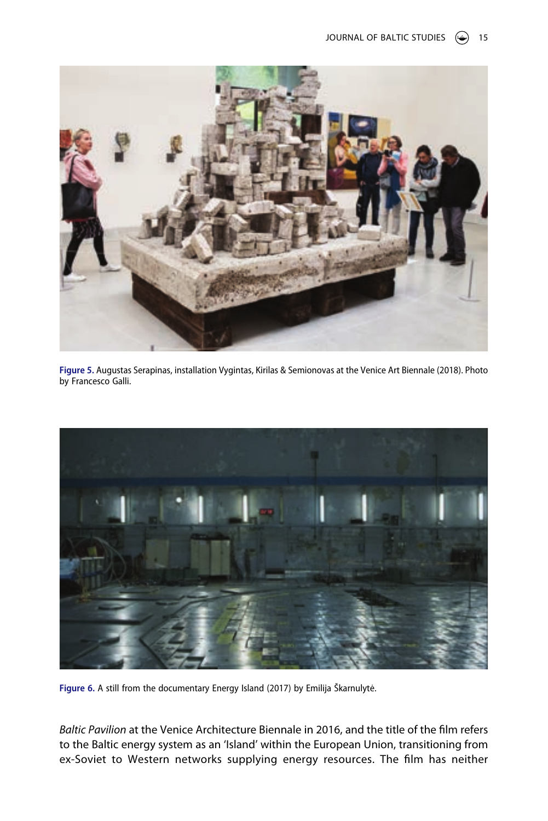<span id="page-15-0"></span>

**Figure 5.** Augustas Serapinas, installation Vygintas, Kirilas & Semionovas at the Venice Art Biennale (2018). Photo by Francesco Galli.

<span id="page-15-1"></span>

**Figure 6.** A still from the documentary Energy Island (2017) by Emilija Škarnulytė.

*Baltic Pavilion* at the Venice Architecture Biennale in 2016, and the title of the film refers to the Baltic energy system as an 'Island' within the European Union, transitioning from ex-Soviet to Western networks supplying energy resources. The film has neither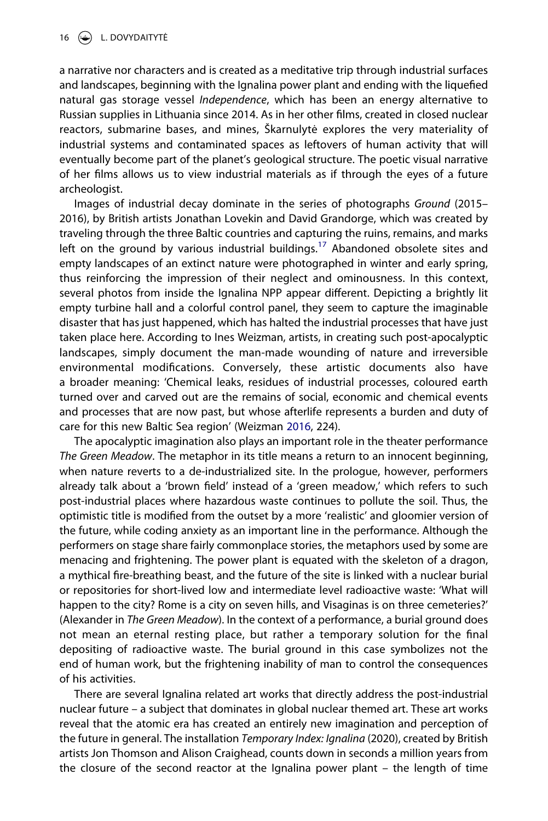a narrative nor characters and is created as a meditative trip through industrial surfaces and landscapes, beginning with the Ignalina power plant and ending with the liquefied natural gas storage vessel *Independence*, which has been an energy alternative to Russian supplies in Lithuania since 2014. As in her other films, created in closed nuclear reactors, submarine bases, and mines, Škarnulytė explores the very materiality of industrial systems and contaminated spaces as leftovers of human activity that will eventually become part of the planet's geological structure. The poetic visual narrative of her films allows us to view industrial materials as if through the eyes of a future archeologist.

Images of industrial decay dominate in the series of photographs *Ground* (2015– 2016), by British artists Jonathan Lovekin and David Grandorge, which was created by traveling through the three Baltic countries and capturing the ruins, remains, and marks left on the ground by various industrial buildings.<sup>17</sup> Abandoned obsolete sites and empty landscapes of an extinct nature were photographed in winter and early spring, thus reinforcing the impression of their neglect and ominousness. In this context, several photos from inside the Ignalina NPP appear different. Depicting a brightly lit empty turbine hall and a colorful control panel, they seem to capture the imaginable disaster that has just happened, which has halted the industrial processes that have just taken place here. According to Ines Weizman, artists, in creating such post-apocalyptic landscapes, simply document the man-made wounding of nature and irreversible environmental modifications. Conversely, these artistic documents also have a broader meaning: 'Chemical leaks, residues of industrial processes, coloured earth turned over and carved out are the remains of social, economic and chemical events and processes that are now past, but whose afterlife represents a burden and duty of care for this new Baltic Sea region' (Weizman [2016](#page-22-10), 224).

<span id="page-16-0"></span>The apocalyptic imagination also plays an important role in the theater performance *The Green Meadow*. The metaphor in its title means a return to an innocent beginning, when nature reverts to a de-industrialized site. In the prologue, however, performers already talk about a 'brown field' instead of a 'green meadow,' which refers to such post-industrial places where hazardous waste continues to pollute the soil. Thus, the optimistic title is modified from the outset by a more 'realistic' and gloomier version of the future, while coding anxiety as an important line in the performance. Although the performers on stage share fairly commonplace stories, the metaphors used by some are menacing and frightening. The power plant is equated with the skeleton of a dragon, a mythical fire-breathing beast, and the future of the site is linked with a nuclear burial or repositories for short-lived low and intermediate level radioactive waste: 'What will happen to the city? Rome is a city on seven hills, and Visaginas is on three cemeteries?' (Alexander in *The Green Meadow*). In the context of a performance, a burial ground does not mean an eternal resting place, but rather a temporary solution for the final depositing of radioactive waste. The burial ground in this case symbolizes not the end of human work, but the frightening inability of man to control the consequences of his activities.

There are several Ignalina related art works that directly address the post-industrial nuclear future – a subject that dominates in global nuclear themed art. These art works reveal that the atomic era has created an entirely new imagination and perception of the future in general. The installation *Temporary Index: Ignalina* (2020), created by British artists Jon Thomson and Alison Craighead, counts down in seconds a million years from the closure of the second reactor at the Ignalina power plant – the length of time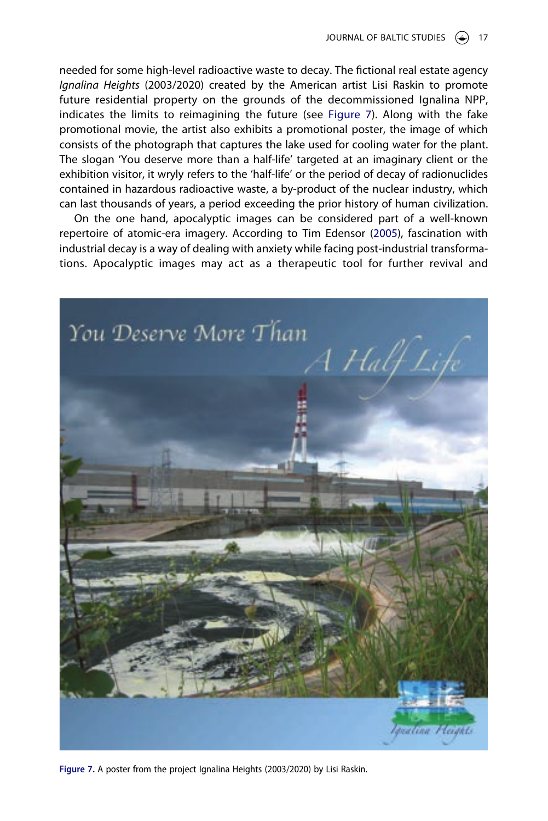needed for some high-level radioactive waste to decay. The fictional real estate agency *Ignalina Heights* (2003/2020) created by the American artist Lisi Raskin to promote future residential property on the grounds of the decommissioned Ignalina NPP, indicates the limits to reimagining the future (see [Figure 7](#page-17-0)). Along with the fake promotional movie, the artist also exhibits a promotional poster, the image of which consists of the photograph that captures the lake used for cooling water for the plant. The slogan 'You deserve more than a half-life' targeted at an imaginary client or the exhibition visitor, it wryly refers to the 'half-life' or the period of decay of radionuclides contained in hazardous radioactive waste, a by-product of the nuclear industry, which can last thousands of years, a period exceeding the prior history of human civilization.

<span id="page-17-1"></span>On the one hand, apocalyptic images can be considered part of a well-known repertoire of atomic-era imagery. According to Tim Edensor ([2005](#page-21-24)), fascination with industrial decay is a way of dealing with anxiety while facing post-industrial transformations. Apocalyptic images may act as a therapeutic tool for further revival and

<span id="page-17-0"></span>

**Figure 7.** A poster from the project Ignalina Heights (2003/2020) by Lisi Raskin.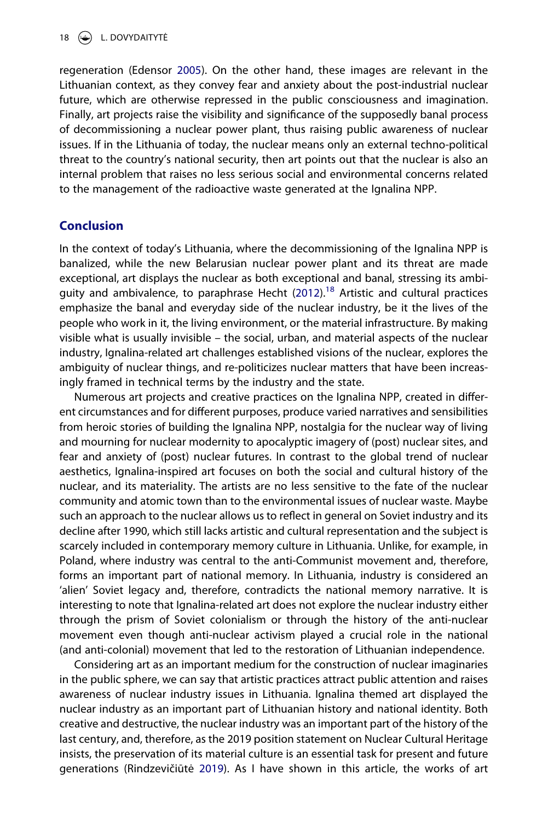regeneration (Edensor [2005\)](#page-21-24). On the other hand, these images are relevant in the Lithuanian context, as they convey fear and anxiety about the post-industrial nuclear future, which are otherwise repressed in the public consciousness and imagination. Finally, art projects raise the visibility and significance of the supposedly banal process of decommissioning a nuclear power plant, thus raising public awareness of nuclear issues. If in the Lithuania of today, the nuclear means only an external techno-political threat to the country's national security, then art points out that the nuclear is also an internal problem that raises no less serious social and environmental concerns related to the management of the radioactive waste generated at the Ignalina NPP.

# **Conclusion**

In the context of today's Lithuania, where the decommissioning of the Ignalina NPP is banalized, while the new Belarusian nuclear power plant and its threat are made exceptional, art displays the nuclear as both exceptional and banal, stressing its ambi-guity and ambivalence, to paraphrase Hecht ([2012](#page-21-1)).<sup>[18](#page-20-7)</sup> Artistic and cultural practices emphasize the banal and everyday side of the nuclear industry, be it the lives of the people who work in it, the living environment, or the material infrastructure. By making visible what is usually invisible – the social, urban, and material aspects of the nuclear industry, Ignalina-related art challenges established visions of the nuclear, explores the ambiguity of nuclear things, and re-politicizes nuclear matters that have been increasingly framed in technical terms by the industry and the state.

Numerous art projects and creative practices on the Ignalina NPP, created in different circumstances and for different purposes, produce varied narratives and sensibilities from heroic stories of building the Ignalina NPP, nostalgia for the nuclear way of living and mourning for nuclear modernity to apocalyptic imagery of (post) nuclear sites, and fear and anxiety of (post) nuclear futures. In contrast to the global trend of nuclear aesthetics, Ignalina-inspired art focuses on both the social and cultural history of the nuclear, and its materiality. The artists are no less sensitive to the fate of the nuclear community and atomic town than to the environmental issues of nuclear waste. Maybe such an approach to the nuclear allows us to reflect in general on Soviet industry and its decline after 1990, which still lacks artistic and cultural representation and the subject is scarcely included in contemporary memory culture in Lithuania. Unlike, for example, in Poland, where industry was central to the anti-Communist movement and, therefore, forms an important part of national memory. In Lithuania, industry is considered an 'alien' Soviet legacy and, therefore, contradicts the national memory narrative. It is interesting to note that Ignalina-related art does not explore the nuclear industry either through the prism of Soviet colonialism or through the history of the anti-nuclear movement even though anti-nuclear activism played a crucial role in the national (and anti-colonial) movement that led to the restoration of Lithuanian independence.

Considering art as an important medium for the construction of nuclear imaginaries in the public sphere, we can say that artistic practices attract public attention and raises awareness of nuclear industry issues in Lithuania. Ignalina themed art displayed the nuclear industry as an important part of Lithuanian history and national identity. Both creative and destructive, the nuclear industry was an important part of the history of the last century, and, therefore, as the 2019 position statement on Nuclear Cultural Heritage insists, the preservation of its material culture is an essential task for present and future generations (Rindzevičiūtė [2019\)](#page-22-0). As I have shown in this article, the works of art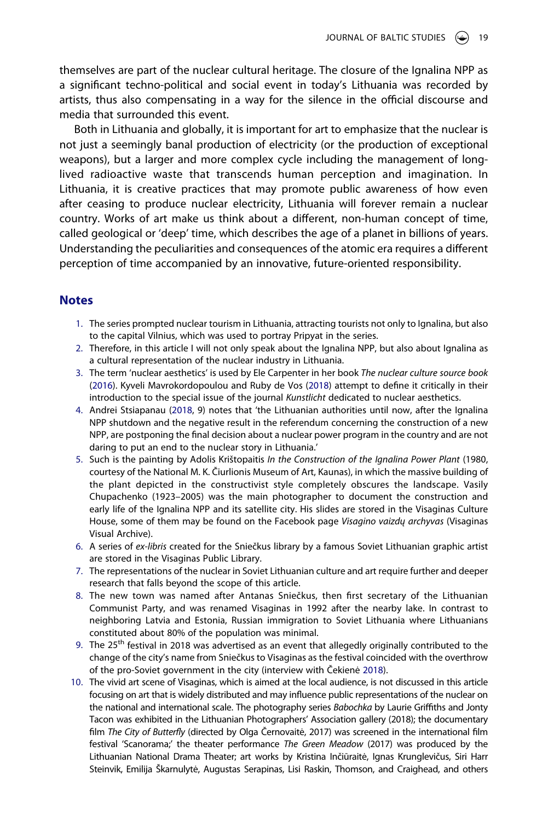themselves are part of the nuclear cultural heritage. The closure of the Ignalina NPP as a significant techno-political and social event in today's Lithuania was recorded by artists, thus also compensating in a way for the silence in the official discourse and media that surrounded this event.

Both in Lithuania and globally, it is important for art to emphasize that the nuclear is not just a seemingly banal production of electricity (or the production of exceptional weapons), but a larger and more complex cycle including the management of longlived radioactive waste that transcends human perception and imagination. In Lithuania, it is creative practices that may promote public awareness of how even after ceasing to produce nuclear electricity, Lithuania will forever remain a nuclear country. Works of art make us think about a different, non-human concept of time, called geological or 'deep' time, which describes the age of a planet in billions of years. Understanding the peculiarities and consequences of the atomic era requires a different perception of time accompanied by an innovative, future-oriented responsibility.

# **Notes**

- <span id="page-19-0"></span>1. The series prompted nuclear tourism in Lithuania, attracting tourists not only to Ignalina, but also to the capital Vilnius, which was used to portray Pripyat in the series.
- <span id="page-19-1"></span>2. Therefore, in this article I will not only speak about the Ignalina NPP, but also about Ignalina as a cultural representation of the nuclear industry in Lithuania.
- <span id="page-19-10"></span><span id="page-19-2"></span>3. The term 'nuclear aesthetics' is used by Ele Carpenter in her book *The nuclear culture source book*  ([2016\)](#page-21-3). Kyveli Mavrokordopoulou and Ruby de Vos [\(2018\)](#page-21-25) attempt to define it critically in their introduction to the special issue of the journal *Kunstlicht* dedicated to nuclear aesthetics.
- <span id="page-19-3"></span>4. Andrei Stsiapanau ([2018](#page-22-5), 9) notes that 'the Lithuanian authorities until now, after the Ignalina NPP shutdown and the negative result in the referendum concerning the construction of a new NPP, are postponing the final decision about a nuclear power program in the country and are not daring to put an end to the nuclear story in Lithuania.'
- <span id="page-19-4"></span>5. Such is the painting by Adolis Krištopaitis *In the Construction of the Ignalina Power Plant* (1980, courtesy of the National M. K. Čiurlionis Museum of Art, Kaunas), in which the massive building of the plant depicted in the constructivist style completely obscures the landscape. Vasily Chupachenko (1923–2005) was the main photographer to document the construction and early life of the Ignalina NPP and its satellite city. His slides are stored in the Visaginas Culture House, some of them may be found on the Facebook page *Visagino vaizdų archyvas* (Visaginas Visual Archive).
- <span id="page-19-5"></span>6. A series of *ex-libris* created for the Sniečkus library by a famous Soviet Lithuanian graphic artist are stored in the Visaginas Public Library.
- <span id="page-19-6"></span>7. The representations of the nuclear in Soviet Lithuanian culture and art require further and deeper research that falls beyond the scope of this article.
- <span id="page-19-7"></span>8. The new town was named after Antanas Sniečkus, then first secretary of the Lithuanian Communist Party, and was renamed Visaginas in 1992 after the nearby lake. In contrast to neighboring Latvia and Estonia, Russian immigration to Soviet Lithuania where Lithuanians constituted about 80% of the population was minimal.
- <span id="page-19-8"></span>9. The 25<sup>th</sup> festival in 2018 was advertised as an event that allegedly originally contributed to the change of the city's name from Sniečkus to Visaginas as the festival coincided with the overthrow of the pro-Soviet government in the city (interview with Čekienė [2018\)](#page-21-18).
- <span id="page-19-9"></span>10. The vivid art scene of Visaginas, which is aimed at the local audience, is not discussed in this article focusing on art that is widely distributed and may influence public representations of the nuclear on the national and international scale. The photography series *Babochka* by Laurie Griffiths and Jonty Tacon was exhibited in the Lithuanian Photographers' Association gallery (2018); the documentary film *The City of Butterfly* (directed by Olga Černovaitė, 2017) was screened in the international film festival 'Scanorama;' the theater performance *The Green Meadow* (2017) was produced by the Lithuanian National Drama Theater; art works by Kristina Inčiūraitė, Ignas Krunglevičus, Siri Harr Steinvik, Emilija Škarnulytė, Augustas Serapinas, Lisi Raskin, Thomson, and Craighead, and others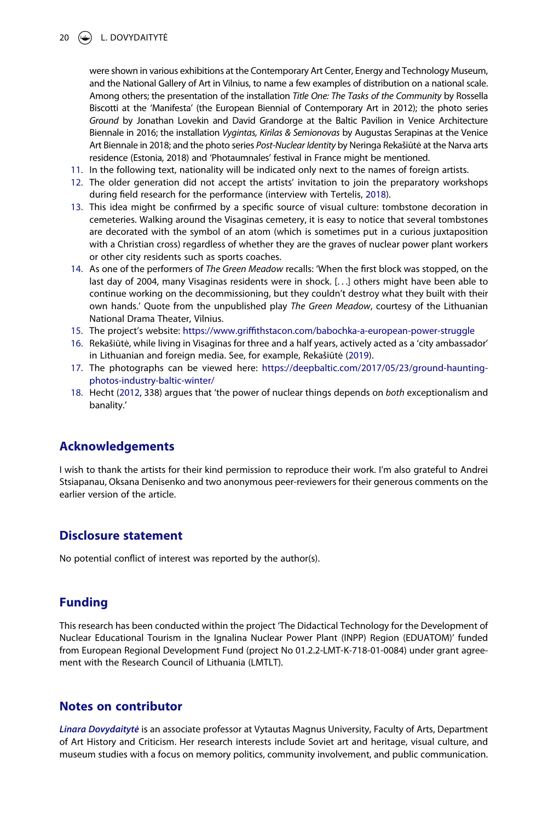

were shown in various exhibitions at the Contemporary Art Center, Energy and Technology Museum, and the National Gallery of Art in Vilnius, to name a few examples of distribution on a national scale. Among others; the presentation of the installation *Title One: The Tasks of the Community* by Rossella Biscotti at the 'Manifesta' (the European Biennial of Contemporary Art in 2012); the photo series *Ground* by Jonathan Lovekin and David Grandorge at the Baltic Pavilion in Venice Architecture Biennale in 2016; the installation *Vygintas, Kirilas & Semionovas* by Augustas Serapinas at the Venice Art Biennale in 2018; and the photo series *Post-Nuclear Identity* by Neringa Rekašiūtė at the Narva arts residence (Estonia, 2018) and 'Photaumnales' festival in France might be mentioned.

- <span id="page-20-0"></span>11. In the following text, nationality will be indicated only next to the names of foreign artists.
- <span id="page-20-9"></span><span id="page-20-1"></span>12. The older generation did not accept the artists' invitation to join the preparatory workshops during field research for the performance (interview with Tertelis, [2018\)](#page-22-11).
- <span id="page-20-2"></span>13. This idea might be confirmed by a specific source of visual culture: tombstone decoration in cemeteries. Walking around the Visaginas cemetery, it is easy to notice that several tombstones are decorated with the symbol of an atom (which is sometimes put in a curious juxtaposition with a Christian cross) regardless of whether they are the graves of nuclear power plant workers or other city residents such as sports coaches.
- <span id="page-20-3"></span>14. As one of the performers of *The Green Meadow* recalls: 'When the first block was stopped, on the last day of 2004, many Visaginas residents were in shock. [. . .] others might have been able to continue working on the decommissioning, but they couldn't destroy what they built with their own hands.' Quote from the unpublished play *The Green Meadow*, courtesy of the Lithuanian National Drama Theater, Vilnius.
- <span id="page-20-4"></span>15. The project's website: <https://www.griffithstacon.com/babochka-a-european-power-struggle>
- <span id="page-20-8"></span><span id="page-20-5"></span>16. Rekašiūtė, while living in Visaginas for three and a half years, actively acted as a 'city ambassador' in Lithuanian and foreign media. See, for example, Rekašiūtė [\(2019\)](#page-22-12).
- <span id="page-20-6"></span>17. The photographs can be viewed here: [https://deepbaltic.com/2017/05/23/ground-haunting](https://deepbaltic.com/2017/05/23/ground-haunting-photos-industry-baltic-winter/)[photos-industry-baltic-winter/](https://deepbaltic.com/2017/05/23/ground-haunting-photos-industry-baltic-winter/)
- <span id="page-20-7"></span>18. Hecht [\(2012,](#page-21-1) 338) argues that 'the power of nuclear things depends on *both* exceptionalism and banality.'

# **Acknowledgements**

I wish to thank the artists for their kind permission to reproduce their work. I'm also grateful to Andrei Stsiapanau, Oksana Denisenko and two anonymous peer-reviewers for their generous comments on the earlier version of the article.

#### **Disclosure statement**

No potential conflict of interest was reported by the author(s).

# **Funding**

This research has been conducted within the project 'The Didactical Technology for the Development of Nuclear Educational Tourism in the Ignalina Nuclear Power Plant (INPP) Region (EDUATOM)' funded from European Regional Development Fund (project No 01.2.2-LMT-K-718-01-0084) under grant agreement with the Research Council of Lithuania (LMTLT).

# **Notes on contributor**

*Linara Dovydaitytė* is an associate professor at Vytautas Magnus University, Faculty of Arts, Department of Art History and Criticism. Her research interests include Soviet art and heritage, visual culture, and museum studies with a focus on memory politics, community involvement, and public communication.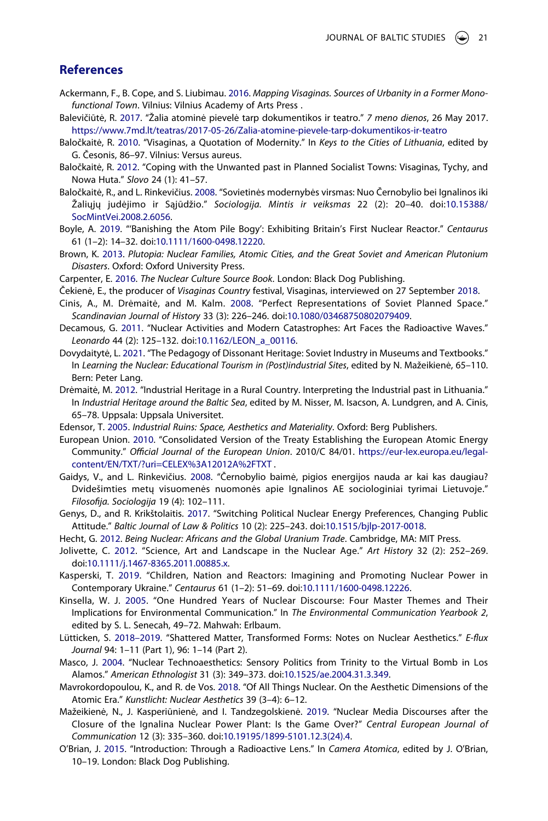#### **References**

- <span id="page-21-22"></span>Ackermann, F., B. Cope, and S. Liubimau. [2016.](#page-13-1) *Mapping Visaginas. Sources of Urbanity in a Former Monofunctional Town*. Vilnius: Vilnius Academy of Arts Press .
- <span id="page-21-19"></span>Balevičiūtė, R. [2017](#page-8-0). "Žalia atominė pievelė tarp dokumentikos ir teatro." *7 meno dienos*, 26 May 2017. <https://www.7md.lt/teatras/2017-05-26/Zalia-atomine-pievele-tarp-dokumentikos-ir-teatro>
- <span id="page-21-21"></span>Baločkaitė, R. [2010.](#page-11-1) "Visaginas, a Quotation of Modernity." In *Keys to the Cities of Lithuania*, edited by G. Česonis, 86–97. Vilnius: Versus aureus.
- <span id="page-21-13"></span>Baločkaitė, R. [2012.](#page-6-0) "Coping with the Unwanted past in Planned Socialist Towns: Visaginas, Tychy, and Nowa Huta." *Slovo* 24 (1): 41–57.
- <span id="page-21-11"></span>Baločkaitė, R., and L. Rinkevičius. [2008.](#page-5-0) "Sovietinės modernybės virsmas: Nuo Černobylio bei Ignalinos iki Žaliųjų judėjimo ir Sąjūdžio." *Sociologija. Mintis ir veiksmas* 22 (2): 20–40. doi:[10.15388/](https://doi.org/10.15388/SocMintVei.2008.2.6056) [SocMintVei.2008.2.6056.](https://doi.org/10.15388/SocMintVei.2008.2.6056)
- <span id="page-21-8"></span>Boyle, A. [2019](#page-3-0). "'Banishing the Atom Pile Bogy': Exhibiting Britain's First Nuclear Reactor." *Centaurus*  61 (1–2): 14–32. doi:[10.1111/1600-0498.12220](https://doi.org/10.1111/1600-0498.12220).
- <span id="page-21-7"></span>Brown, K. [2013](#page-3-1). *Plutopia: Nuclear Families, Atomic Cities, and the Great Soviet and American Plutonium Disasters*. Oxford: Oxford University Press.
- <span id="page-21-3"></span>Carpenter, E. [2016.](#page-2-0) *The Nuclear Culture Source Book*. London: Black Dog Publishing.
- <span id="page-21-18"></span>Čekienė, E., the producer of *Visaginas Country* festival, Visaginas, interviewed on 27 September [2018.](#page-7-0)
- <span id="page-21-20"></span>Cinis, A., M. Drėmaitė, and M. Kalm. [2008.](#page-10-0) "Perfect Representations of Soviet Planned Space." *Scandinavian Journal of History* 33 (3): 226–246. doi:[10.1080/03468750802079409.](https://doi.org/10.1080/03468750802079409)
- <span id="page-21-5"></span>Decamous, G. [2011](#page-2-0). "Nuclear Activities and Modern Catastrophes: Art Faces the Radioactive Waves." *Leonardo* 44 (2): 125–132. doi:[10.1162/LEON\\_a\\_00116.](https://doi.org/10.1162/LEON_a_00116)
- <span id="page-21-15"></span>Dovydaitytė, L. [2021.](#page-6-1) "The Pedagogy of Dissonant Heritage: Soviet Industry in Museums and Textbooks." In *Learning the Nuclear: Educational Tourism in (Post)industrial Sites*, edited by N. Mažeikienė, 65–110. Bern: Peter Lang.
- <span id="page-21-14"></span>Drėmaitė, M. [2012](#page-6-2). "Industrial Heritage in a Rural Country. Interpreting the Industrial past in Lithuania." In *Industrial Heritage around the Baltic Sea*, edited by M. Nisser, M. Isacson, A. Lundgren, and A. Cinis, 65–78. Uppsala: Uppsala Universitet.
- <span id="page-21-24"></span>Edensor, T. [2005](#page-17-1). *Industrial Ruins: Space, Aesthetics and Materiality*. Oxford: Berg Publishers.
- <span id="page-21-23"></span>European Union. [2010.](#page-14-0) "Consolidated Version of the Treaty Establishing the European Atomic Energy Community." *Official Journal of the European Union*. 2010/C 84/01. [https://eur-lex.europa.eu/legal](https://eur-lex.europa.eu/legal-content/EN/TXT/?uri=CELEX%3A12012A%2FTXT)[content/EN/TXT/?uri=CELEX%3A12012A%2FTXT](https://eur-lex.europa.eu/legal-content/EN/TXT/?uri=CELEX%3A12012A%2FTXT) .
- <span id="page-21-12"></span>Gaidys, V., and L. Rinkevičius. [2008](#page-6-3). "Černobylio baimė, pigios energijos nauda ar kai kas daugiau? Dvidešimties metų visuomenės nuomonės apie Ignalinos AE sociologiniai tyrimai Lietuvoje." *Filosofija. Sociologija* 19 (4): 102–111.
- <span id="page-21-16"></span>Genys, D., and R. Krikštolaitis. [2017.](#page-6-4) "Switching Political Nuclear Energy Preferences, Changing Public Attitude." *Baltic Journal of Law & Politics* 10 (2): 225–243. doi:[10.1515/bjlp-2017-0018.](https://doi.org/10.1515/bjlp-2017-0018)
- <span id="page-21-1"></span>Hecht, G. [2012](#page-2-1). *Being Nuclear: Africans and the Global Uranium Trade*. Cambridge, MA: MIT Press.
- <span id="page-21-10"></span>Jolivette, C. [2012](#page-4-0). "Science, Art and Landscape in the Nuclear Age." *Art History* 32 (2): 252–269. doi:[10.1111/j.1467-8365.2011.00885.x.](https://doi.org/10.1111/j.1467-8365.2011.00885.x)
- <span id="page-21-9"></span>Kasperski, T. [2019.](#page-3-0) "Children, Nation and Reactors: Imagining and Promoting Nuclear Power in Contemporary Ukraine." *Centaurus* 61 (1–2): 51–69. doi:[10.1111/1600-0498.12226.](https://doi.org/10.1111/1600-0498.12226)
- <span id="page-21-17"></span>Kinsella, W. J. [2005](#page-6-5). "One Hundred Years of Nuclear Discourse: Four Master Themes and Their Implications for Environmental Communication." In *The Environmental Communication Yearbook 2*, edited by S. L. Senecah, 49–72. Mahwah: Erlbaum.
- <span id="page-21-4"></span>Lütticken, S. [2018–2019](#page-2-0). "Shattered Matter, Transformed Forms: Notes on Nuclear Aesthetics." *E-flux Journal* 94: 1–11 (Part 1), 96: 1–14 (Part 2).
- <span id="page-21-6"></span>Masco, J. [2004.](#page-3-1) "Nuclear Technoaesthetics: Sensory Politics from Trinity to the Virtual Bomb in Los Alamos." *American Ethnologist* 31 (3): 349–373. doi:[10.1525/ae.2004.31.3.349.](https://doi.org/10.1525/ae.2004.31.3.349)
- <span id="page-21-25"></span>Mavrokordopoulou, K., and R. de Vos. [2018](#page-19-10). "Of All Things Nuclear. On the Aesthetic Dimensions of the Atomic Era." *Kunstlicht: Nuclear Aesthetics* 39 (3–4): 6–12.
- <span id="page-21-0"></span>Mažeikienė, N., J. Kasperiūnienė, and I. Tandzegolskienė. [2019](#page-2-2). "Nuclear Media Discourses after the Closure of the Ignalina Nuclear Power Plant: Is the Game Over?" *Central European Journal of Communication* 12 (3): 335–360. doi:[10.19195/1899-5101.12.3\(24\).4.](https://doi.org/10.19195/1899-5101.12.3(24).4)
- <span id="page-21-2"></span>O'Brian, J. [2015.](#page-2-3) "Introduction: Through a Radioactive Lens." In *Camera Atomica*, edited by J. O'Brian, 10–19. London: Black Dog Publishing.